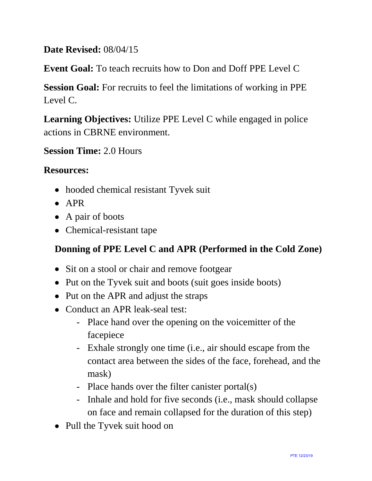### **Date Revised:** 08/04/15

**Event Goal:** To teach recruits how to Don and Doff PPE Level C

**Session Goal:** For recruits to feel the limitations of working in PPE Level C.

**Learning Objectives:** Utilize PPE Level C while engaged in police actions in CBRNE environment.

### **Session Time:** 2.0 Hours

### **Resources:**

- hooded chemical resistant Tyvek suit
- APR
- A pair of boots
- Chemical-resistant tape

### **Donning of PPE Level C and APR (Performed in the Cold Zone)**

- Sit on a stool or chair and remove footgear
- Put on the Tyvek suit and boots (suit goes inside boots)
- Put on the APR and adjust the straps
- Conduct an APR leak-seal test:
	- Place hand over the opening on the voicemitter of the facepiece
	- Exhale strongly one time (i.e., air should escape from the contact area between the sides of the face, forehead, and the mask)
	- Place hands over the filter canister portal(s)
	- Inhale and hold for five seconds (i.e., mask should collapse on face and remain collapsed for the duration of this step)
- Pull the Tyvek suit hood on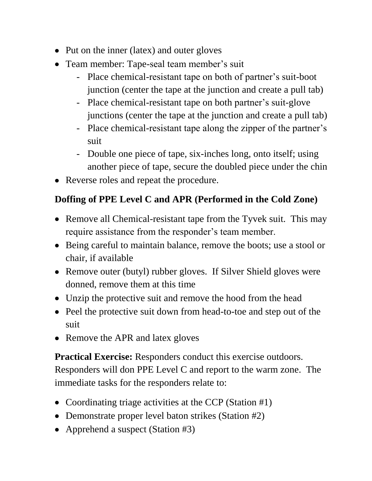- Put on the inner (latex) and outer gloves
- Team member: Tape-seal team member's suit
	- Place chemical-resistant tape on both of partner's suit-boot junction (center the tape at the junction and create a pull tab)
	- Place chemical-resistant tape on both partner's suit-glove junctions (center the tape at the junction and create a pull tab)
	- Place chemical-resistant tape along the zipper of the partner's suit
	- Double one piece of tape, six-inches long, onto itself; using another piece of tape, secure the doubled piece under the chin
- Reverse roles and repeat the procedure.

# **Doffing of PPE Level C and APR (Performed in the Cold Zone)**

- Remove all Chemical-resistant tape from the Tyvek suit. This may require assistance from the responder's team member.
- Being careful to maintain balance, remove the boots; use a stool or chair, if available
- Remove outer (butyl) rubber gloves. If Silver Shield gloves were donned, remove them at this time
- Unzip the protective suit and remove the hood from the head
- Peel the protective suit down from head-to-toe and step out of the suit
- Remove the APR and latex gloves

**Practical Exercise:** Responders conduct this exercise outdoors. Responders will don PPE Level C and report to the warm zone. The immediate tasks for the responders relate to:

- Coordinating triage activities at the CCP (Station #1)
- Demonstrate proper level baton strikes (Station #2)
- Apprehend a suspect (Station #3)